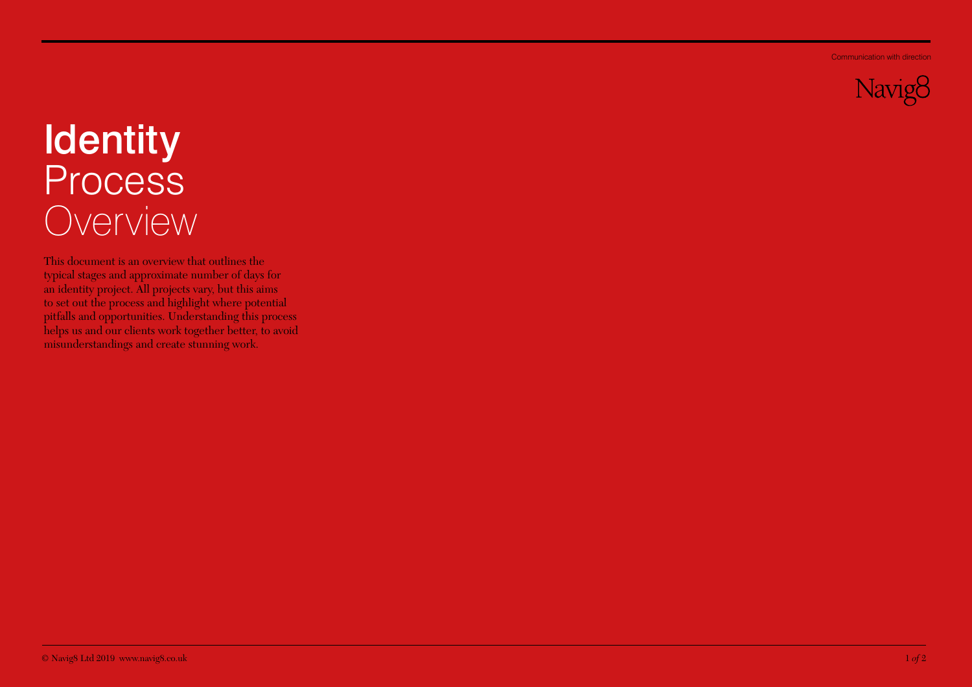Communication with direction



## Identity Process Overview

This document is an overview that outlines the typical stages and approximate number of days for an identity project. All projects vary, but this aims to set out the process and highlight where potential pitfalls and opportunities. Understanding this process helps us and our clients work together better, to avoid misunderstandings and create stunning work.